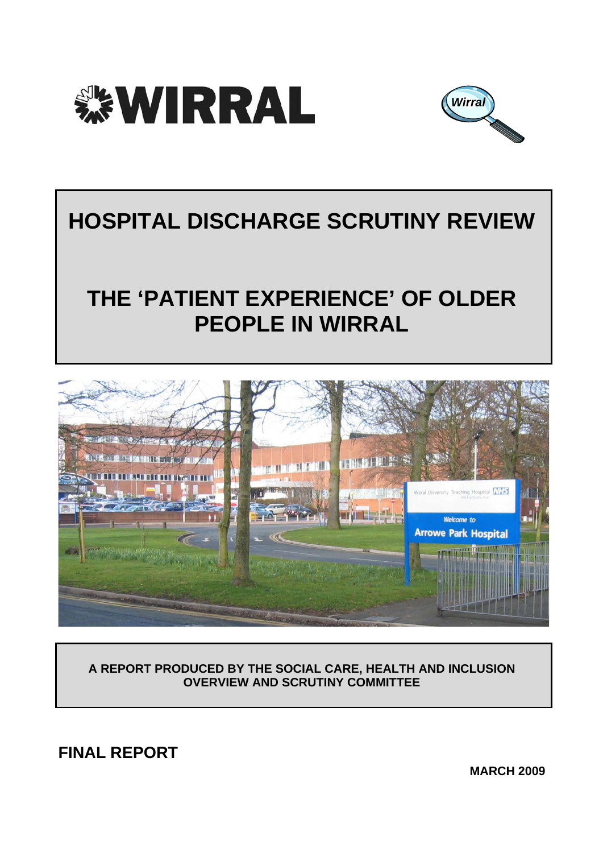



# **HOSPITAL DISCHARGE SCRUTINY REVIEW**

# **THE 'PATIENT EXPERIENCE' OF OLDER PEOPLE IN WIRRAL**



**A REPORT PRODUCED BY THE SOCIAL CARE, HEALTH AND INCLUSION OVERVIEW AND SCRUTINY COMMITTEE** 

**FINAL REPORT** 

**MARCH 2009**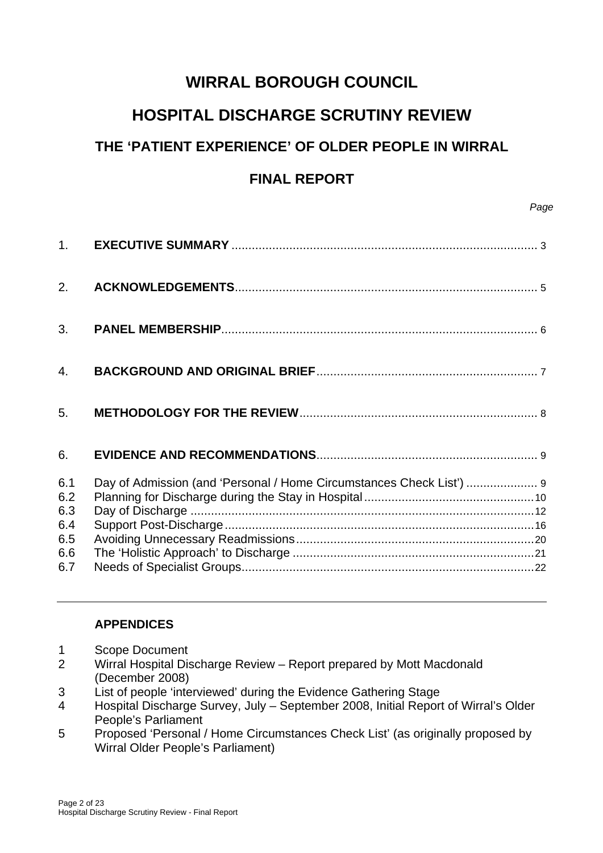## **WIRRAL BOROUGH COUNCIL**

## **HOSPITAL DISCHARGE SCRUTINY REVIEW**

## **THE 'PATIENT EXPERIENCE' OF OLDER PEOPLE IN WIRRAL**

## **FINAL REPORT**

| 2.                                            |                                                                      |
|-----------------------------------------------|----------------------------------------------------------------------|
| 3.                                            |                                                                      |
| 4.                                            |                                                                      |
| 5.                                            |                                                                      |
| 6.                                            |                                                                      |
| 6.1<br>6.2<br>6.3<br>6.4<br>6.5<br>6.6<br>6.7 | Day of Admission (and 'Personal / Home Circumstances Check List')  9 |

## **APPENDICES**

- 1 Scope Document
- 2 Wirral Hospital Discharge Review Report prepared by Mott Macdonald (December 2008)
- 3 List of people 'interviewed' during the Evidence Gathering Stage
- 4 Hospital Discharge Survey, July September 2008, Initial Report of Wirral's Older People's Parliament
- 5 Proposed 'Personal / Home Circumstances Check List' (as originally proposed by Wirral Older People's Parliament)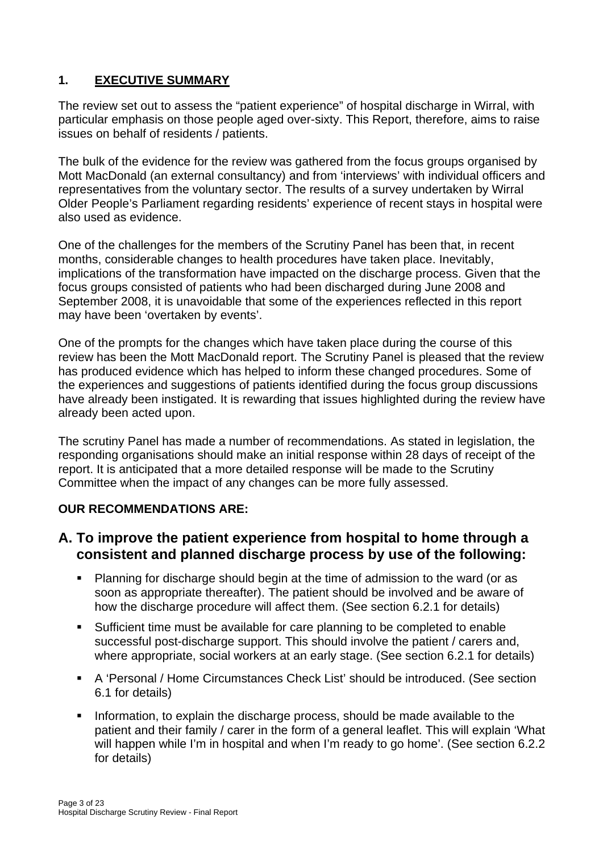## **1. EXECUTIVE SUMMARY**

The review set out to assess the "patient experience" of hospital discharge in Wirral, with particular emphasis on those people aged over-sixty. This Report, therefore, aims to raise issues on behalf of residents / patients.

The bulk of the evidence for the review was gathered from the focus groups organised by Mott MacDonald (an external consultancy) and from 'interviews' with individual officers and representatives from the voluntary sector. The results of a survey undertaken by Wirral Older People's Parliament regarding residents' experience of recent stays in hospital were also used as evidence.

One of the challenges for the members of the Scrutiny Panel has been that, in recent months, considerable changes to health procedures have taken place. Inevitably, implications of the transformation have impacted on the discharge process. Given that the focus groups consisted of patients who had been discharged during June 2008 and September 2008, it is unavoidable that some of the experiences reflected in this report may have been 'overtaken by events'.

One of the prompts for the changes which have taken place during the course of this review has been the Mott MacDonald report. The Scrutiny Panel is pleased that the review has produced evidence which has helped to inform these changed procedures. Some of the experiences and suggestions of patients identified during the focus group discussions have already been instigated. It is rewarding that issues highlighted during the review have already been acted upon.

The scrutiny Panel has made a number of recommendations. As stated in legislation, the responding organisations should make an initial response within 28 days of receipt of the report. It is anticipated that a more detailed response will be made to the Scrutiny Committee when the impact of any changes can be more fully assessed.

## **OUR RECOMMENDATIONS ARE:**

## **A. To improve the patient experience from hospital to home through a consistent and planned discharge process by use of the following:**

- Planning for discharge should begin at the time of admission to the ward (or as soon as appropriate thereafter). The patient should be involved and be aware of how the discharge procedure will affect them. (See section 6.2.1 for details)
- Sufficient time must be available for care planning to be completed to enable successful post-discharge support. This should involve the patient / carers and, where appropriate, social workers at an early stage. (See section 6.2.1 for details)
- A 'Personal / Home Circumstances Check List' should be introduced. (See section 6.1 for details)
- Information, to explain the discharge process, should be made available to the patient and their family / carer in the form of a general leaflet. This will explain 'What will happen while I'm in hospital and when I'm ready to go home'. (See section 6.2.2) for details)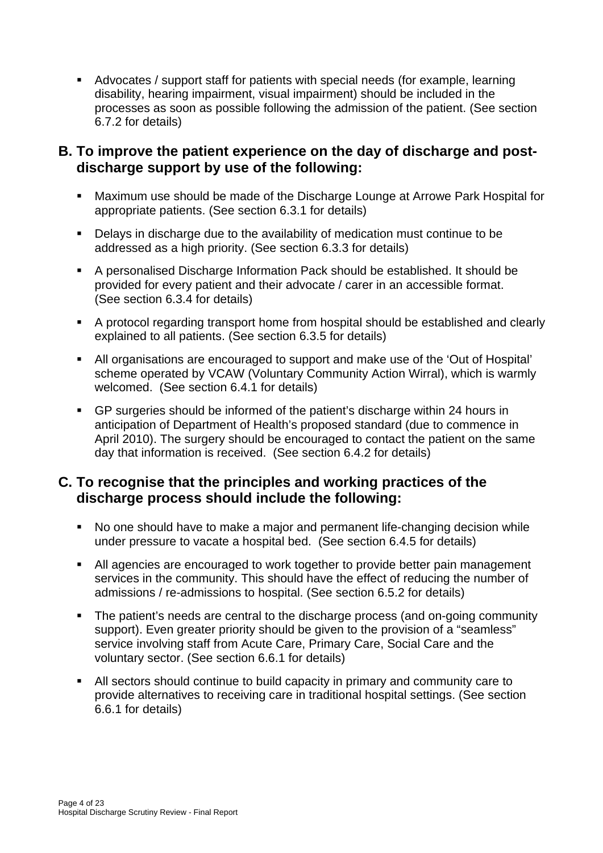Advocates / support staff for patients with special needs (for example, learning disability, hearing impairment, visual impairment) should be included in the processes as soon as possible following the admission of the patient. (See section 6.7.2 for details)

## **B. To improve the patient experience on the day of discharge and postdischarge support by use of the following:**

- Maximum use should be made of the Discharge Lounge at Arrowe Park Hospital for appropriate patients. (See section 6.3.1 for details)
- **•** Delays in discharge due to the availability of medication must continue to be addressed as a high priority. (See section 6.3.3 for details)
- A personalised Discharge Information Pack should be established. It should be provided for every patient and their advocate / carer in an accessible format. (See section 6.3.4 for details)
- A protocol regarding transport home from hospital should be established and clearly explained to all patients. (See section 6.3.5 for details)
- All organisations are encouraged to support and make use of the 'Out of Hospital' scheme operated by VCAW (Voluntary Community Action Wirral), which is warmly welcomed. (See section 6.4.1 for details)
- GP surgeries should be informed of the patient's discharge within 24 hours in anticipation of Department of Health's proposed standard (due to commence in April 2010). The surgery should be encouraged to contact the patient on the same day that information is received. (See section 6.4.2 for details)

## **C. To recognise that the principles and working practices of the discharge process should include the following:**

- No one should have to make a major and permanent life-changing decision while under pressure to vacate a hospital bed. (See section 6.4.5 for details)
- All agencies are encouraged to work together to provide better pain management services in the community. This should have the effect of reducing the number of admissions / re-admissions to hospital. (See section 6.5.2 for details)
- The patient's needs are central to the discharge process (and on-going community support). Even greater priority should be given to the provision of a "seamless" service involving staff from Acute Care, Primary Care, Social Care and the voluntary sector. (See section 6.6.1 for details)
- All sectors should continue to build capacity in primary and community care to provide alternatives to receiving care in traditional hospital settings. (See section 6.6.1 for details)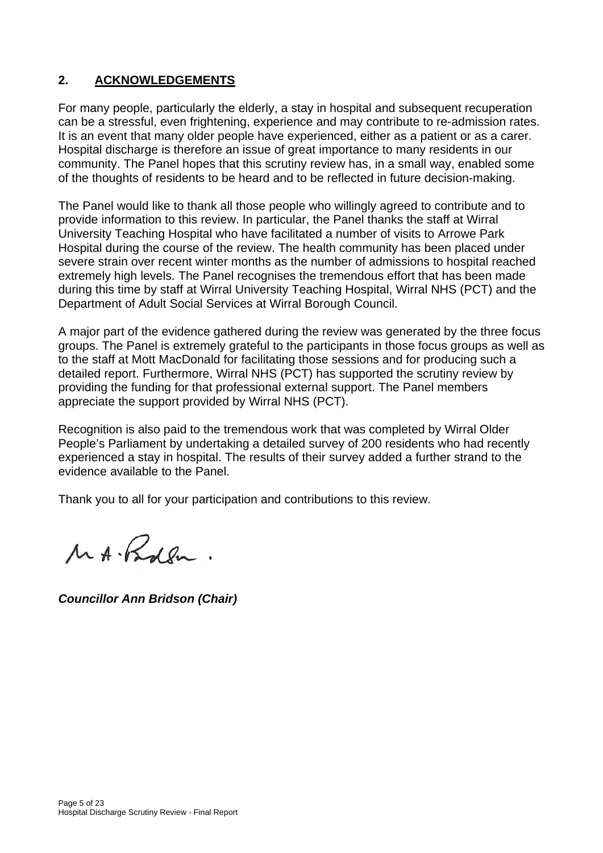## **2. ACKNOWLEDGEMENTS**

For many people, particularly the elderly, a stay in hospital and subsequent recuperation can be a stressful, even frightening, experience and may contribute to re-admission rates. It is an event that many older people have experienced, either as a patient or as a carer. Hospital discharge is therefore an issue of great importance to many residents in our community. The Panel hopes that this scrutiny review has, in a small way, enabled some of the thoughts of residents to be heard and to be reflected in future decision-making.

The Panel would like to thank all those people who willingly agreed to contribute and to provide information to this review. In particular, the Panel thanks the staff at Wirral University Teaching Hospital who have facilitated a number of visits to Arrowe Park Hospital during the course of the review. The health community has been placed under severe strain over recent winter months as the number of admissions to hospital reached extremely high levels. The Panel recognises the tremendous effort that has been made during this time by staff at Wirral University Teaching Hospital, Wirral NHS (PCT) and the Department of Adult Social Services at Wirral Borough Council.

A major part of the evidence gathered during the review was generated by the three focus groups. The Panel is extremely grateful to the participants in those focus groups as well as to the staff at Mott MacDonald for facilitating those sessions and for producing such a detailed report. Furthermore, Wirral NHS (PCT) has supported the scrutiny review by providing the funding for that professional external support. The Panel members appreciate the support provided by Wirral NHS (PCT).

Recognition is also paid to the tremendous work that was completed by Wirral Older People's Parliament by undertaking a detailed survey of 200 residents who had recently experienced a stay in hospital. The results of their survey added a further strand to the evidence available to the Panel.

Thank you to all for your participation and contributions to this review.

MA. Rober.

*Councillor Ann Bridson (Chair)*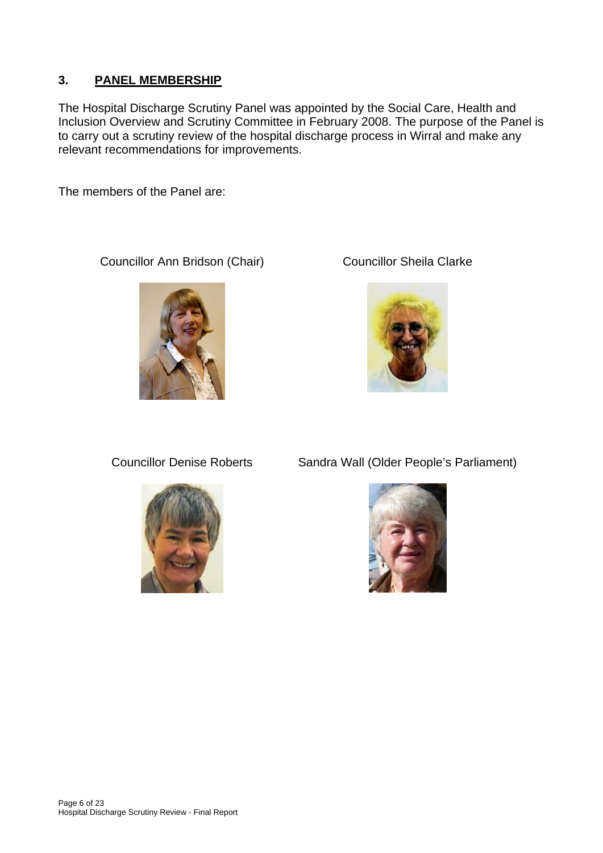## **3. PANEL MEMBERSHIP**

The Hospital Discharge Scrutiny Panel was appointed by the Social Care, Health and Inclusion Overview and Scrutiny Committee in February 2008. The purpose of the Panel is to carry out a scrutiny review of the hospital discharge process in Wirral and make any relevant recommendations for improvements.

The members of the Panel are:

Councillor Ann Bridson (Chair) Councillor Sheila Clarke







Councillor Denise Roberts Sandra Wall (Older People's Parliament)

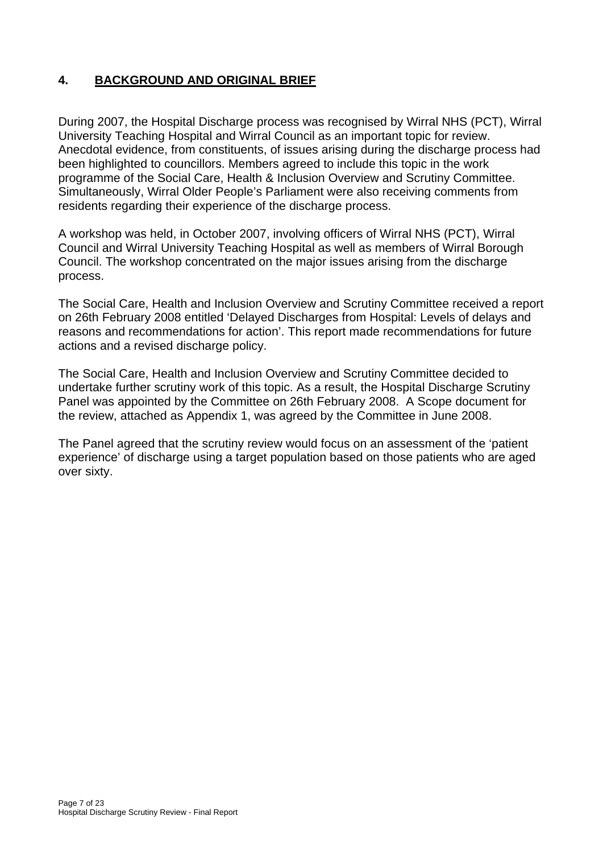## **4. BACKGROUND AND ORIGINAL BRIEF**

During 2007, the Hospital Discharge process was recognised by Wirral NHS (PCT), Wirral University Teaching Hospital and Wirral Council as an important topic for review. Anecdotal evidence, from constituents, of issues arising during the discharge process had been highlighted to councillors. Members agreed to include this topic in the work programme of the Social Care, Health & Inclusion Overview and Scrutiny Committee. Simultaneously, Wirral Older People's Parliament were also receiving comments from residents regarding their experience of the discharge process.

A workshop was held, in October 2007, involving officers of Wirral NHS (PCT), Wirral Council and Wirral University Teaching Hospital as well as members of Wirral Borough Council. The workshop concentrated on the major issues arising from the discharge process.

The Social Care, Health and Inclusion Overview and Scrutiny Committee received a report on 26th February 2008 entitled 'Delayed Discharges from Hospital: Levels of delays and reasons and recommendations for action'. This report made recommendations for future actions and a revised discharge policy.

The Social Care, Health and Inclusion Overview and Scrutiny Committee decided to undertake further scrutiny work of this topic. As a result, the Hospital Discharge Scrutiny Panel was appointed by the Committee on 26th February 2008. A Scope document for the review, attached as Appendix 1, was agreed by the Committee in June 2008.

The Panel agreed that the scrutiny review would focus on an assessment of the 'patient experience' of discharge using a target population based on those patients who are aged over sixty.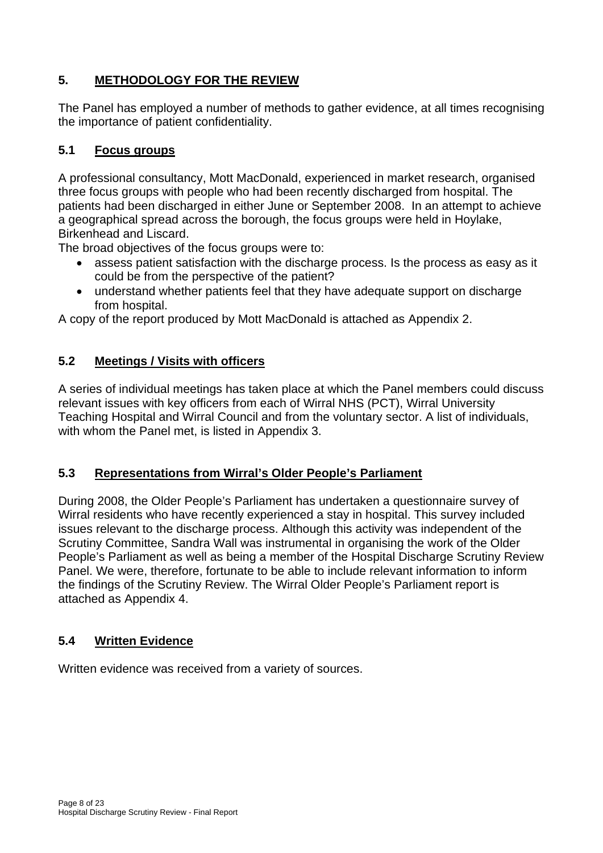## **5. METHODOLOGY FOR THE REVIEW**

The Panel has employed a number of methods to gather evidence, at all times recognising the importance of patient confidentiality.

## **5.1 Focus groups**

A professional consultancy, Mott MacDonald, experienced in market research, organised three focus groups with people who had been recently discharged from hospital. The patients had been discharged in either June or September 2008. In an attempt to achieve a geographical spread across the borough, the focus groups were held in Hoylake, Birkenhead and Liscard.

The broad objectives of the focus groups were to:

- assess patient satisfaction with the discharge process. Is the process as easy as it could be from the perspective of the patient?
- understand whether patients feel that they have adequate support on discharge from hospital.

A copy of the report produced by Mott MacDonald is attached as Appendix 2.

## **5.2 Meetings / Visits with officers**

A series of individual meetings has taken place at which the Panel members could discuss relevant issues with key officers from each of Wirral NHS (PCT), Wirral University Teaching Hospital and Wirral Council and from the voluntary sector. A list of individuals, with whom the Panel met, is listed in Appendix 3.

## **5.3 Representations from Wirral's Older People's Parliament**

During 2008, the Older People's Parliament has undertaken a questionnaire survey of Wirral residents who have recently experienced a stay in hospital. This survey included issues relevant to the discharge process. Although this activity was independent of the Scrutiny Committee, Sandra Wall was instrumental in organising the work of the Older People's Parliament as well as being a member of the Hospital Discharge Scrutiny Review Panel. We were, therefore, fortunate to be able to include relevant information to inform the findings of the Scrutiny Review. The Wirral Older People's Parliament report is attached as Appendix 4.

## **5.4 Written Evidence**

Written evidence was received from a variety of sources.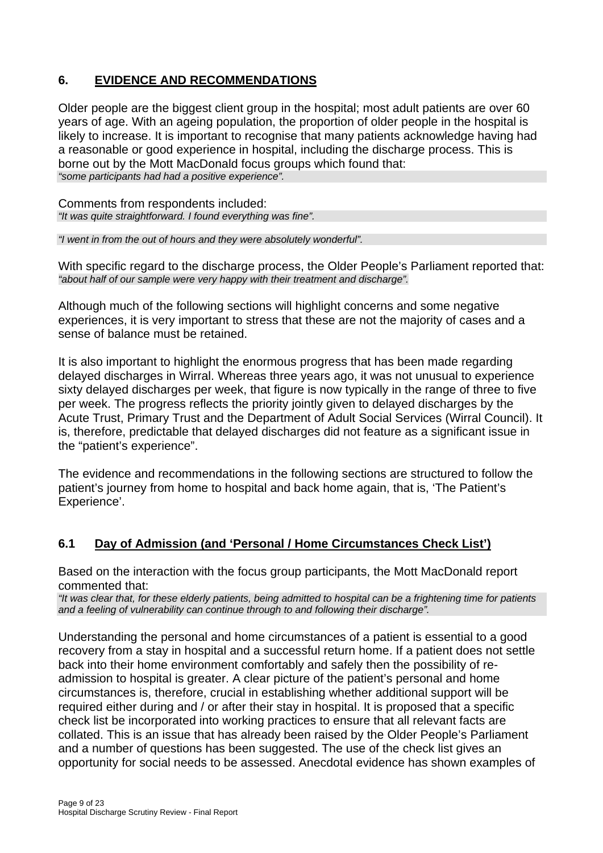## **6. EVIDENCE AND RECOMMENDATIONS**

Older people are the biggest client group in the hospital; most adult patients are over 60 years of age. With an ageing population, the proportion of older people in the hospital is likely to increase. It is important to recognise that many patients acknowledge having had a reasonable or good experience in hospital, including the discharge process. This is borne out by the Mott MacDonald focus groups which found that: *"some participants had had a positive experience".* 

Comments from respondents included: *"It was quite straightforward. I found everything was fine".* 

*"I went in from the out of hours and they were absolutely wonderful".* 

With specific regard to the discharge process, the Older People's Parliament reported that: *"about half of our sample were very happy with their treatment and discharge".* 

Although much of the following sections will highlight concerns and some negative experiences, it is very important to stress that these are not the majority of cases and a sense of balance must be retained.

It is also important to highlight the enormous progress that has been made regarding delayed discharges in Wirral. Whereas three years ago, it was not unusual to experience sixty delayed discharges per week, that figure is now typically in the range of three to five per week. The progress reflects the priority jointly given to delayed discharges by the Acute Trust, Primary Trust and the Department of Adult Social Services (Wirral Council). It is, therefore, predictable that delayed discharges did not feature as a significant issue in the "patient's experience".

The evidence and recommendations in the following sections are structured to follow the patient's journey from home to hospital and back home again, that is, 'The Patient's Experience'.

## **6.1 Day of Admission (and 'Personal / Home Circumstances Check List')**

Based on the interaction with the focus group participants, the Mott MacDonald report commented that:

*"It was clear that, for these elderly patients, being admitted to hospital can be a frightening time for patients and a feeling of vulnerability can continue through to and following their discharge".* 

Understanding the personal and home circumstances of a patient is essential to a good recovery from a stay in hospital and a successful return home. If a patient does not settle back into their home environment comfortably and safely then the possibility of readmission to hospital is greater. A clear picture of the patient's personal and home circumstances is, therefore, crucial in establishing whether additional support will be required either during and / or after their stay in hospital. It is proposed that a specific check list be incorporated into working practices to ensure that all relevant facts are collated. This is an issue that has already been raised by the Older People's Parliament and a number of questions has been suggested. The use of the check list gives an opportunity for social needs to be assessed. Anecdotal evidence has shown examples of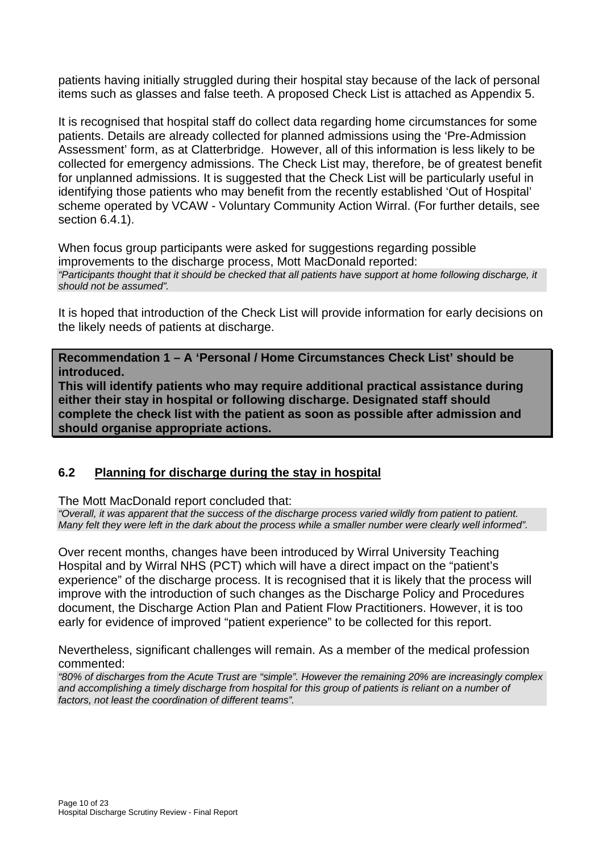patients having initially struggled during their hospital stay because of the lack of personal items such as glasses and false teeth. A proposed Check List is attached as Appendix 5.

It is recognised that hospital staff do collect data regarding home circumstances for some patients. Details are already collected for planned admissions using the 'Pre-Admission Assessment' form, as at Clatterbridge. However, all of this information is less likely to be collected for emergency admissions. The Check List may, therefore, be of greatest benefit for unplanned admissions. It is suggested that the Check List will be particularly useful in identifying those patients who may benefit from the recently established 'Out of Hospital' scheme operated by VCAW - Voluntary Community Action Wirral. (For further details, see section 6.4.1).

When focus group participants were asked for suggestions regarding possible improvements to the discharge process, Mott MacDonald reported: *"Participants thought that it should be checked that all patients have support at home following discharge, it should not be assumed".* 

It is hoped that introduction of the Check List will provide information for early decisions on the likely needs of patients at discharge.

**Recommendation 1 – A 'Personal / Home Circumstances Check List' should be introduced.** 

**This will identify patients who may require additional practical assistance during either their stay in hospital or following discharge. Designated staff should complete the check list with the patient as soon as possible after admission and should organise appropriate actions.** 

#### **6.2 Planning for discharge during the stay in hospital**

The Mott MacDonald report concluded that:

*"Overall, it was apparent that the success of the discharge process varied wildly from patient to patient. Many felt they were left in the dark about the process while a smaller number were clearly well informed".* 

Over recent months, changes have been introduced by Wirral University Teaching Hospital and by Wirral NHS (PCT) which will have a direct impact on the "patient's experience" of the discharge process. It is recognised that it is likely that the process will improve with the introduction of such changes as the Discharge Policy and Procedures document, the Discharge Action Plan and Patient Flow Practitioners. However, it is too early for evidence of improved "patient experience" to be collected for this report.

Nevertheless, significant challenges will remain. As a member of the medical profession commented:

*"80% of discharges from the Acute Trust are "simple". However the remaining 20% are increasingly complex and accomplishing a timely discharge from hospital for this group of patients is reliant on a number of factors, not least the coordination of different teams".*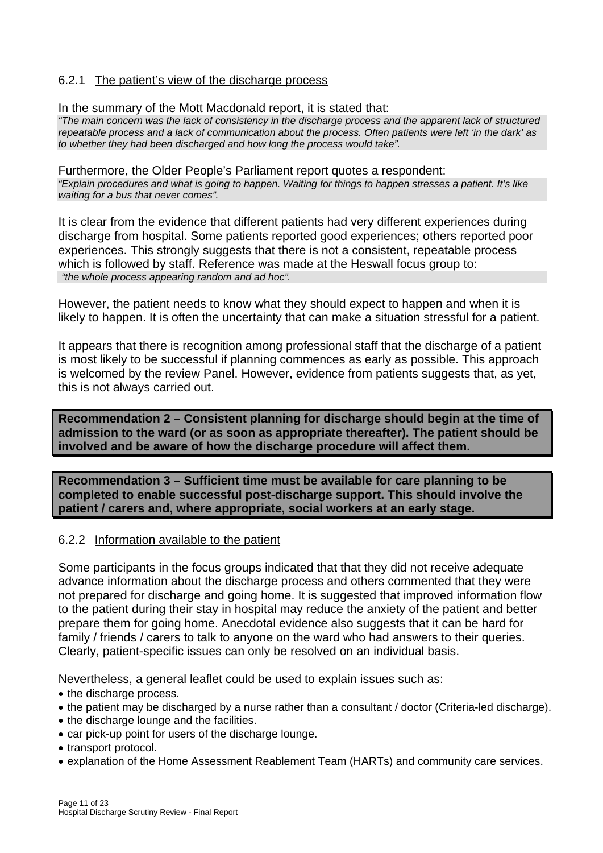#### 6.2.1 The patient's view of the discharge process

In the summary of the Mott Macdonald report, it is stated that:

*"The main concern was the lack of consistency in the discharge process and the apparent lack of structured repeatable process and a lack of communication about the process. Often patients were left 'in the dark' as to whether they had been discharged and how long the process would take".* 

Furthermore, the Older People's Parliament report quotes a respondent: *"Explain procedures and what is going to happen. Waiting for things to happen stresses a patient. It's like waiting for a bus that never comes".* 

It is clear from the evidence that different patients had very different experiences during discharge from hospital. Some patients reported good experiences; others reported poor experiences. This strongly suggests that there is not a consistent, repeatable process which is followed by staff. Reference was made at the Heswall focus group to: *"the whole process appearing random and ad hoc".* 

However, the patient needs to know what they should expect to happen and when it is likely to happen. It is often the uncertainty that can make a situation stressful for a patient.

It appears that there is recognition among professional staff that the discharge of a patient is most likely to be successful if planning commences as early as possible. This approach is welcomed by the review Panel. However, evidence from patients suggests that, as yet, this is not always carried out.

**Recommendation 2 – Consistent planning for discharge should begin at the time of admission to the ward (or as soon as appropriate thereafter). The patient should be involved and be aware of how the discharge procedure will affect them.** 

**Recommendation 3 – Sufficient time must be available for care planning to be completed to enable successful post-discharge support. This should involve the patient / carers and, where appropriate, social workers at an early stage.** 

#### 6.2.2 Information available to the patient

Some participants in the focus groups indicated that that they did not receive adequate advance information about the discharge process and others commented that they were not prepared for discharge and going home. It is suggested that improved information flow to the patient during their stay in hospital may reduce the anxiety of the patient and better prepare them for going home. Anecdotal evidence also suggests that it can be hard for family / friends / carers to talk to anyone on the ward who had answers to their queries. Clearly, patient-specific issues can only be resolved on an individual basis.

Nevertheless, a general leaflet could be used to explain issues such as:

- the discharge process.
- the patient may be discharged by a nurse rather than a consultant / doctor (Criteria-led discharge).
- the discharge lounge and the facilities.
- car pick-up point for users of the discharge lounge.
- transport protocol.
- explanation of the Home Assessment Reablement Team (HARTs) and community care services.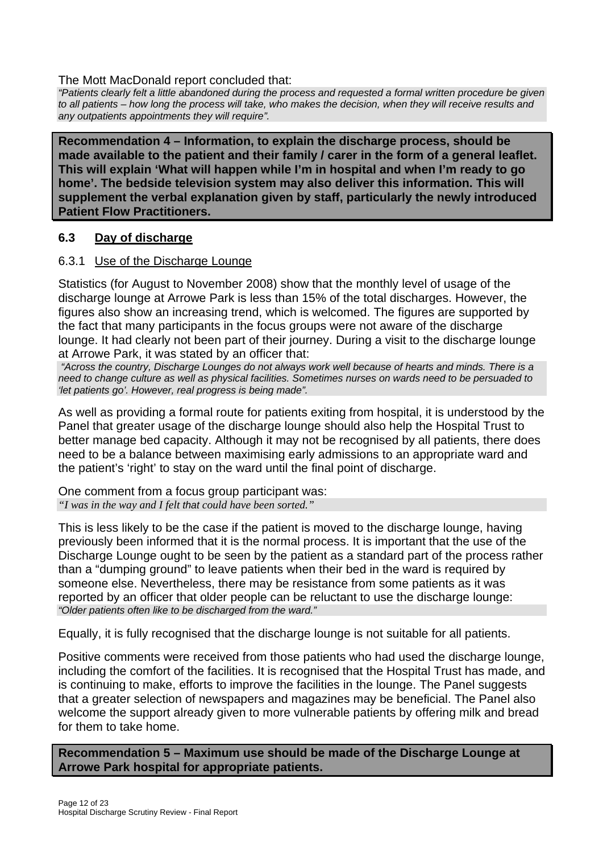#### The Mott MacDonald report concluded that:

*"Patients clearly felt a little abandoned during the process and requested a formal written procedure be given to all patients – how long the process will take, who makes the decision, when they will receive results and any outpatients appointments they will require".* 

**Recommendation 4 – Information, to explain the discharge process, should be made available to the patient and their family / carer in the form of a general leaflet. This will explain 'What will happen while I'm in hospital and when I'm ready to go home'. The bedside television system may also deliver this information. This will supplement the verbal explanation given by staff, particularly the newly introduced Patient Flow Practitioners.** 

### **6.3 Day of discharge**

#### 6.3.1 Use of the Discharge Lounge

Statistics (for August to November 2008) show that the monthly level of usage of the discharge lounge at Arrowe Park is less than 15% of the total discharges. However, the figures also show an increasing trend, which is welcomed. The figures are supported by the fact that many participants in the focus groups were not aware of the discharge lounge. It had clearly not been part of their journey. During a visit to the discharge lounge at Arrowe Park, it was stated by an officer that:

 *"Across the country, Discharge Lounges do not always work well because of hearts and minds. There is a need to change culture as well as physical facilities. Sometimes nurses on wards need to be persuaded to 'let patients go'. However, real progress is being made".* 

As well as providing a formal route for patients exiting from hospital, it is understood by the Panel that greater usage of the discharge lounge should also help the Hospital Trust to better manage bed capacity. Although it may not be recognised by all patients, there does need to be a balance between maximising early admissions to an appropriate ward and the patient's 'right' to stay on the ward until the final point of discharge.

One comment from a focus group participant was: *"I was in the way and I felt that could have been sorted."* 

This is less likely to be the case if the patient is moved to the discharge lounge, having previously been informed that it is the normal process. It is important that the use of the Discharge Lounge ought to be seen by the patient as a standard part of the process rather than a "dumping ground" to leave patients when their bed in the ward is required by someone else. Nevertheless, there may be resistance from some patients as it was reported by an officer that older people can be reluctant to use the discharge lounge: *"Older patients often like to be discharged from the ward."* 

Equally, it is fully recognised that the discharge lounge is not suitable for all patients.

Positive comments were received from those patients who had used the discharge lounge, including the comfort of the facilities. It is recognised that the Hospital Trust has made, and is continuing to make, efforts to improve the facilities in the lounge. The Panel suggests that a greater selection of newspapers and magazines may be beneficial. The Panel also welcome the support already given to more vulnerable patients by offering milk and bread for them to take home.

**Recommendation 5 – Maximum use should be made of the Discharge Lounge at Arrowe Park hospital for appropriate patients.**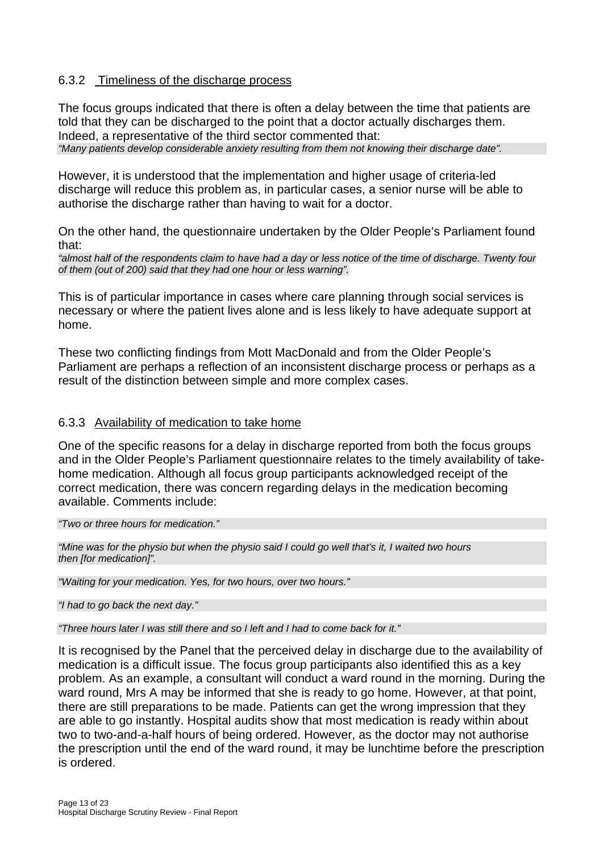#### 6.3.2 Timeliness of the discharge process

The focus groups indicated that there is often a delay between the time that patients are told that they can be discharged to the point that a doctor actually discharges them. Indeed, a representative of the third sector commented that: *"Many patients develop considerable anxiety resulting from them not knowing their discharge date".* 

However, it is understood that the implementation and higher usage of criteria-led discharge will reduce this problem as, in particular cases, a senior nurse will be able to authorise the discharge rather than having to wait for a doctor.

On the other hand, the questionnaire undertaken by the Older People's Parliament found that:

*"almost half of the respondents claim to have had a day or less notice of the time of discharge. Twenty four of them (out of 200) said that they had one hour or less warning".*

This is of particular importance in cases where care planning through social services is necessary or where the patient lives alone and is less likely to have adequate support at home.

These two conflicting findings from Mott MacDonald and from the Older People's Parliament are perhaps a reflection of an inconsistent discharge process or perhaps as a result of the distinction between simple and more complex cases.

#### 6.3.3 Availability of medication to take home

One of the specific reasons for a delay in discharge reported from both the focus groups and in the Older People's Parliament questionnaire relates to the timely availability of takehome medication. Although all focus group participants acknowledged receipt of the correct medication, there was concern regarding delays in the medication becoming available. Comments include:

*"Two or three hours for medication."* 

*"Mine was for the physio but when the physio said I could go well that's it, I waited two hours then [for medication]".* 

*"Waiting for your medication. Yes, for two hours, over two hours."* 

*"I had to go back the next day."* 

*"Three hours later I was still there and so I left and I had to come back for it."* 

It is recognised by the Panel that the perceived delay in discharge due to the availability of medication is a difficult issue. The focus group participants also identified this as a key problem. As an example, a consultant will conduct a ward round in the morning. During the ward round, Mrs A may be informed that she is ready to go home. However, at that point, there are still preparations to be made. Patients can get the wrong impression that they are able to go instantly. Hospital audits show that most medication is ready within about two to two-and-a-half hours of being ordered. However, as the doctor may not authorise the prescription until the end of the ward round, it may be lunchtime before the prescription is ordered.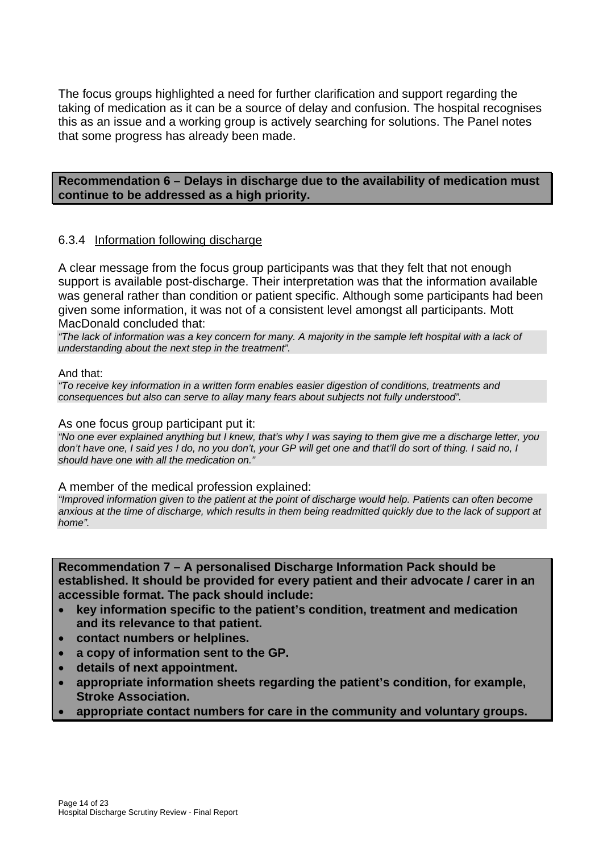The focus groups highlighted a need for further clarification and support regarding the taking of medication as it can be a source of delay and confusion. The hospital recognises this as an issue and a working group is actively searching for solutions. The Panel notes that some progress has already been made.

#### **Recommendation 6 – Delays in discharge due to the availability of medication must continue to be addressed as a high priority.**

#### 6.3.4 Information following discharge

A clear message from the focus group participants was that they felt that not enough support is available post-discharge. Their interpretation was that the information available was general rather than condition or patient specific. Although some participants had been given some information, it was not of a consistent level amongst all participants. Mott MacDonald concluded that:

*"The lack of information was a key concern for many. A majority in the sample left hospital with a lack of understanding about the next step in the treatment".* 

#### And that:

*"To receive key information in a written form enables easier digestion of conditions, treatments and consequences but also can serve to allay many fears about subjects not fully understood".* 

#### As one focus group participant put it:

*"No one ever explained anything but I knew, that's why I was saying to them give me a discharge letter, you*  don't have one, I said yes I do, no you don't, your GP will get one and that'll do sort of thing. I said no, I *should have one with all the medication on."* 

#### A member of the medical profession explained:

*"Improved information given to the patient at the point of discharge would help. Patients can often become*  anxious at the time of discharge, which results in them being readmitted quickly due to the lack of support at *home".* 

**Recommendation 7 – A personalised Discharge Information Pack should be established. It should be provided for every patient and their advocate / carer in an accessible format. The pack should include:** 

- **key information specific to the patient's condition, treatment and medication and its relevance to that patient.**
- **contact numbers or helplines.**
- **a copy of information sent to the GP.**
- **details of next appointment.**
- **appropriate information sheets regarding the patient's condition, for example, Stroke Association.**
- **appropriate contact numbers for care in the community and voluntary groups.**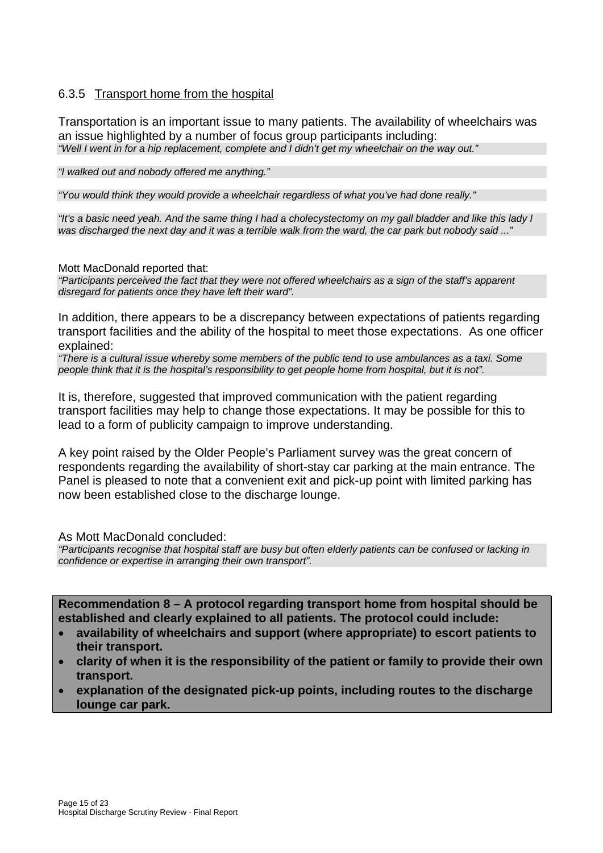### 6.3.5 Transport home from the hospital

Transportation is an important issue to many patients. The availability of wheelchairs was an issue highlighted by a number of focus group participants including: *"Well I went in for a hip replacement, complete and I didn't get my wheelchair on the way out."* 

*"I walked out and nobody offered me anything."* 

*"You would think they would provide a wheelchair regardless of what you've had done really."* 

*"It's a basic need yeah. And the same thing I had a cholecystectomy on my gall bladder and like this lady I was discharged the next day and it was a terrible walk from the ward, the car park but nobody said ..."* 

Mott MacDonald reported that:

*"Participants perceived the fact that they were not offered wheelchairs as a sign of the staff's apparent disregard for patients once they have left their ward".* 

In addition, there appears to be a discrepancy between expectations of patients regarding transport facilities and the ability of the hospital to meet those expectations. As one officer explained:

*"There is a cultural issue whereby some members of the public tend to use ambulances as a taxi. Some people think that it is the hospital's responsibility to get people home from hospital, but it is not".* 

It is, therefore, suggested that improved communication with the patient regarding transport facilities may help to change those expectations. It may be possible for this to lead to a form of publicity campaign to improve understanding.

A key point raised by the Older People's Parliament survey was the great concern of respondents regarding the availability of short-stay car parking at the main entrance. The Panel is pleased to note that a convenient exit and pick-up point with limited parking has now been established close to the discharge lounge.

As Mott MacDonald concluded:

*"Participants recognise that hospital staff are busy but often elderly patients can be confused or lacking in confidence or expertise in arranging their own transport".* 

**Recommendation 8 – A protocol regarding transport home from hospital should be established and clearly explained to all patients. The protocol could include:** 

- **availability of wheelchairs and support (where appropriate) to escort patients to their transport.**
- **clarity of when it is the responsibility of the patient or family to provide their own transport.**
- **explanation of the designated pick-up points, including routes to the discharge lounge car park.**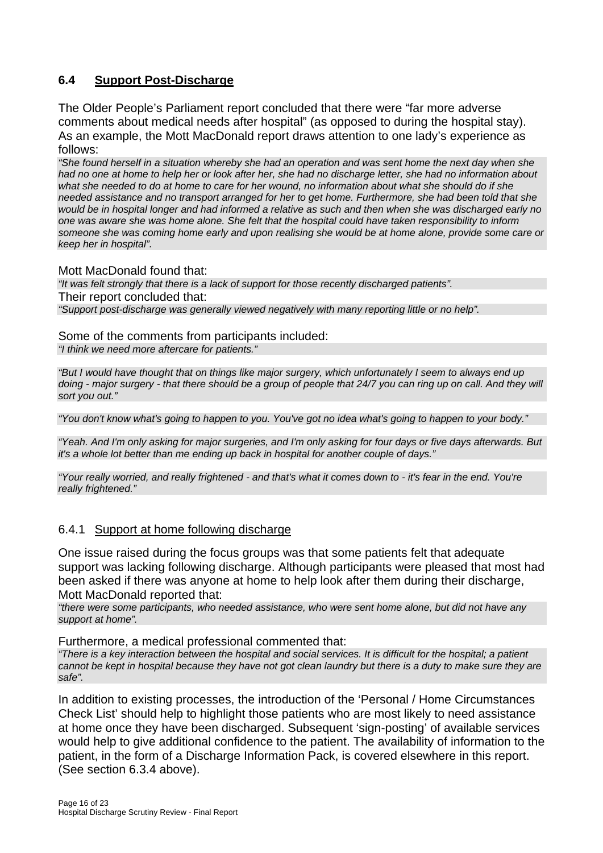## **6.4 Support Post-Discharge**

The Older People's Parliament report concluded that there were "far more adverse comments about medical needs after hospital" (as opposed to during the hospital stay). As an example, the Mott MacDonald report draws attention to one lady's experience as follows:

*"She found herself in a situation whereby she had an operation and was sent home the next day when she had no one at home to help her or look after her, she had no discharge letter, she had no information about what she needed to do at home to care for her wound, no information about what she should do if she needed assistance and no transport arranged for her to get home. Furthermore, she had been told that she would be in hospital longer and had informed a relative as such and then when she was discharged early no one was aware she was home alone. She felt that the hospital could have taken responsibility to inform someone she was coming home early and upon realising she would be at home alone, provide some care or keep her in hospital".* 

Mott MacDonald found that:

*"It was felt strongly that there is a lack of support for those recently discharged patients".*  Their report concluded that:

*"Support post-discharge was generally viewed negatively with many reporting little or no help".* 

Some of the comments from participants included: *"I think we need more aftercare for patients."* 

*"But I would have thought that on things like major surgery, which unfortunately I seem to always end up doing - major surgery - that there should be a group of people that 24/7 you can ring up on call. And they will sort you out."* 

*"You don't know what's going to happen to you. You've got no idea what's going to happen to your body."* 

*"Yeah. And I'm only asking for major surgeries, and I'm only asking for four days or five days afterwards. But it's a whole lot better than me ending up back in hospital for another couple of days."* 

*"Your really worried, and really frightened - and that's what it comes down to - it's fear in the end. You're really frightened."* 

#### 6.4.1 Support at home following discharge

One issue raised during the focus groups was that some patients felt that adequate support was lacking following discharge. Although participants were pleased that most had been asked if there was anyone at home to help look after them during their discharge, Mott MacDonald reported that:

*"there were some participants, who needed assistance, who were sent home alone, but did not have any support at home".* 

Furthermore, a medical professional commented that:

*"There is a key interaction between the hospital and social services. It is difficult for the hospital; a patient cannot be kept in hospital because they have not got clean laundry but there is a duty to make sure they are safe".* 

In addition to existing processes, the introduction of the 'Personal / Home Circumstances Check List' should help to highlight those patients who are most likely to need assistance at home once they have been discharged. Subsequent 'sign-posting' of available services would help to give additional confidence to the patient. The availability of information to the patient, in the form of a Discharge Information Pack, is covered elsewhere in this report. (See section 6.3.4 above).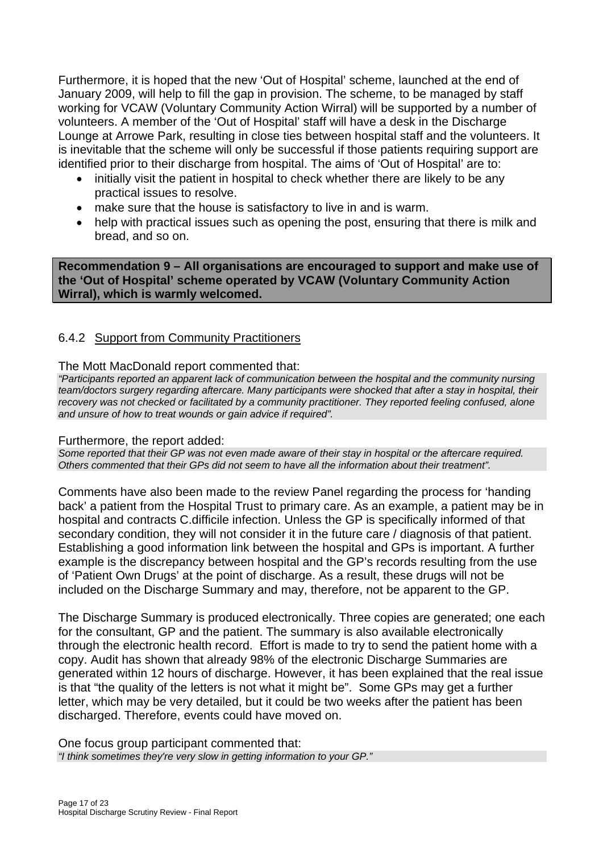Furthermore, it is hoped that the new 'Out of Hospital' scheme, launched at the end of January 2009, will help to fill the gap in provision. The scheme, to be managed by staff working for VCAW (Voluntary Community Action Wirral) will be supported by a number of volunteers. A member of the 'Out of Hospital' staff will have a desk in the Discharge Lounge at Arrowe Park, resulting in close ties between hospital staff and the volunteers. It is inevitable that the scheme will only be successful if those patients requiring support are identified prior to their discharge from hospital. The aims of 'Out of Hospital' are to:

- initially visit the patient in hospital to check whether there are likely to be any practical issues to resolve.
- make sure that the house is satisfactory to live in and is warm.
- help with practical issues such as opening the post, ensuring that there is milk and bread, and so on.

**Recommendation 9 – All organisations are encouraged to support and make use of the 'Out of Hospital' scheme operated by VCAW (Voluntary Community Action Wirral), which is warmly welcomed.** 

### 6.4.2 Support from Community Practitioners

#### The Mott MacDonald report commented that:

*"Participants reported an apparent lack of communication between the hospital and the community nursing team/doctors surgery regarding aftercare. Many participants were shocked that after a stay in hospital, their recovery was not checked or facilitated by a community practitioner. They reported feeling confused, alone and unsure of how to treat wounds or gain advice if required".* 

#### Furthermore, the report added:

*Some reported that their GP was not even made aware of their stay in hospital or the aftercare required. Others commented that their GPs did not seem to have all the information about their treatment".* 

Comments have also been made to the review Panel regarding the process for 'handing back' a patient from the Hospital Trust to primary care. As an example, a patient may be in hospital and contracts C.difficile infection. Unless the GP is specifically informed of that secondary condition, they will not consider it in the future care / diagnosis of that patient. Establishing a good information link between the hospital and GPs is important. A further example is the discrepancy between hospital and the GP's records resulting from the use of 'Patient Own Drugs' at the point of discharge. As a result, these drugs will not be included on the Discharge Summary and may, therefore, not be apparent to the GP.

The Discharge Summary is produced electronically. Three copies are generated; one each for the consultant, GP and the patient. The summary is also available electronically through the electronic health record. Effort is made to try to send the patient home with a copy. Audit has shown that already 98% of the electronic Discharge Summaries are generated within 12 hours of discharge. However, it has been explained that the real issue is that "the quality of the letters is not what it might be". Some GPs may get a further letter, which may be very detailed, but it could be two weeks after the patient has been discharged. Therefore, events could have moved on.

One focus group participant commented that: *"I think sometimes they're very slow in getting information to your GP."*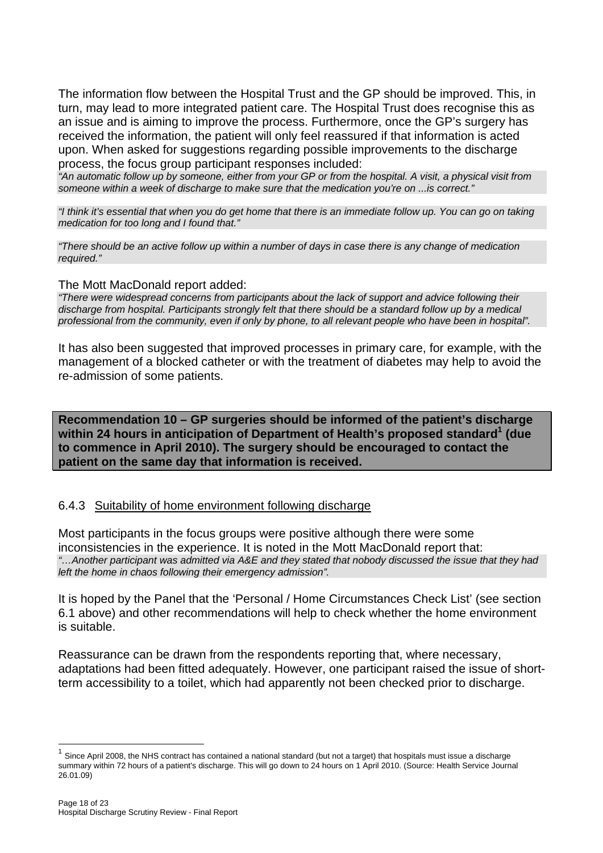The information flow between the Hospital Trust and the GP should be improved. This, in turn, may lead to more integrated patient care. The Hospital Trust does recognise this as an issue and is aiming to improve the process. Furthermore, once the GP's surgery has received the information, the patient will only feel reassured if that information is acted upon. When asked for suggestions regarding possible improvements to the discharge process, the focus group participant responses included:

*"An automatic follow up by someone, either from your GP or from the hospital. A visit, a physical visit from someone within a week of discharge to make sure that the medication you're on ...is correct."* 

*"I think it's essential that when you do get home that there is an immediate follow up. You can go on taking medication for too long and I found that."* 

*"There should be an active follow up within a number of days in case there is any change of medication required."* 

The Mott MacDonald report added:

*"There were widespread concerns from participants about the lack of support and advice following their discharge from hospital. Participants strongly felt that there should be a standard follow up by a medical professional from the community, even if only by phone, to all relevant people who have been in hospital".* 

It has also been suggested that improved processes in primary care, for example, with the management of a blocked catheter or with the treatment of diabetes may help to avoid the re-admission of some patients.

**Recommendation 10 – GP surgeries should be informed of the patient's discharge**  within 24 hours in anticipation of Department of Health's proposed standard<sup>1</sup> (due **to commence in April 2010). The surgery should be encouraged to contact the patient on the same day that information is received.** 

#### 6.4.3 Suitability of home environment following discharge

Most participants in the focus groups were positive although there were some inconsistencies in the experience. It is noted in the Mott MacDonald report that: *"…Another participant was admitted via A&E and they stated that nobody discussed the issue that they had left the home in chaos following their emergency admission".* 

It is hoped by the Panel that the 'Personal / Home Circumstances Check List' (see section 6.1 above) and other recommendations will help to check whether the home environment is suitable.

Reassurance can be drawn from the respondents reporting that, where necessary, adaptations had been fitted adequately. However, one participant raised the issue of shortterm accessibility to a toilet, which had apparently not been checked prior to discharge.

l

 $1$  Since April 2008, the NHS contract has contained a national standard (but not a target) that hospitals must issue a discharge summary within 72 hours of a patient's discharge. This will go down to 24 hours on 1 April 2010. (Source: Health Service Journal 26.01.09)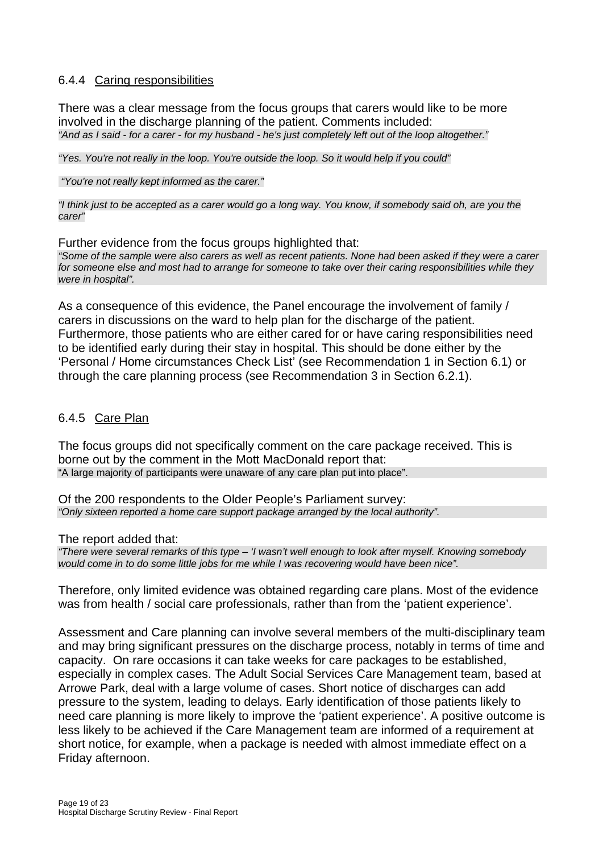#### 6.4.4 Caring responsibilities

There was a clear message from the focus groups that carers would like to be more involved in the discharge planning of the patient. Comments included: *"And as I said - for a carer - for my husband - he's just completely left out of the loop altogether."* 

*"Yes. You're not really in the loop. You're outside the loop. So it would help if you could"* 

 *"You're not really kept informed as the carer."* 

*"I think just to be accepted as a carer would go a long way. You know, if somebody said oh, are you the carer"* 

Further evidence from the focus groups highlighted that: *"Some of the sample were also carers as well as recent patients. None had been asked if they were a carer for someone else and most had to arrange for someone to take over their caring responsibilities while they were in hospital".* 

As a consequence of this evidence, the Panel encourage the involvement of family / carers in discussions on the ward to help plan for the discharge of the patient. Furthermore, those patients who are either cared for or have caring responsibilities need to be identified early during their stay in hospital. This should be done either by the 'Personal / Home circumstances Check List' (see Recommendation 1 in Section 6.1) or through the care planning process (see Recommendation 3 in Section 6.2.1).

#### 6.4.5 Care Plan

The focus groups did not specifically comment on the care package received. This is borne out by the comment in the Mott MacDonald report that: "A large majority of participants were unaware of any care plan put into place".

Of the 200 respondents to the Older People's Parliament survey: *"Only sixteen reported a home care support package arranged by the local authority".* 

The report added that:

*"There were several remarks of this type – 'I wasn't well enough to look after myself. Knowing somebody would come in to do some little jobs for me while I was recovering would have been nice".* 

Therefore, only limited evidence was obtained regarding care plans. Most of the evidence was from health / social care professionals, rather than from the 'patient experience'.

Assessment and Care planning can involve several members of the multi-disciplinary team and may bring significant pressures on the discharge process, notably in terms of time and capacity. On rare occasions it can take weeks for care packages to be established, especially in complex cases. The Adult Social Services Care Management team, based at Arrowe Park, deal with a large volume of cases. Short notice of discharges can add pressure to the system, leading to delays. Early identification of those patients likely to need care planning is more likely to improve the 'patient experience'. A positive outcome is less likely to be achieved if the Care Management team are informed of a requirement at short notice, for example, when a package is needed with almost immediate effect on a Friday afternoon.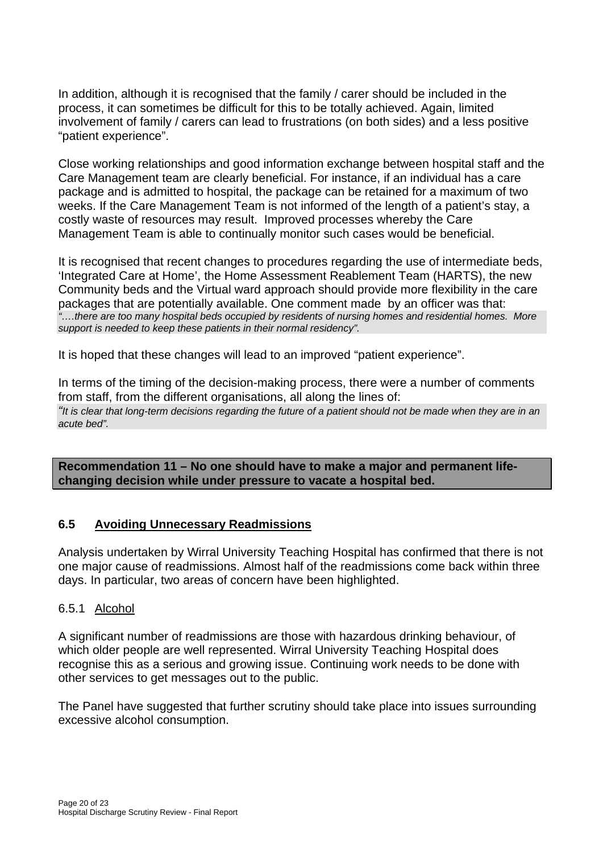In addition, although it is recognised that the family / carer should be included in the process, it can sometimes be difficult for this to be totally achieved. Again, limited involvement of family / carers can lead to frustrations (on both sides) and a less positive "patient experience".

Close working relationships and good information exchange between hospital staff and the Care Management team are clearly beneficial. For instance, if an individual has a care package and is admitted to hospital, the package can be retained for a maximum of two weeks. If the Care Management Team is not informed of the length of a patient's stay, a costly waste of resources may result. Improved processes whereby the Care Management Team is able to continually monitor such cases would be beneficial.

It is recognised that recent changes to procedures regarding the use of intermediate beds, 'Integrated Care at Home', the Home Assessment Reablement Team (HARTS), the new Community beds and the Virtual ward approach should provide more flexibility in the care packages that are potentially available. One comment made by an officer was that: *"….there are too many hospital beds occupied by residents of nursing homes and residential homes. More support is needed to keep these patients in their normal residency".* 

It is hoped that these changes will lead to an improved "patient experience".

In terms of the timing of the decision-making process, there were a number of comments from staff, from the different organisations, all along the lines of: *"It is clear that long-term decisions regarding the future of a patient should not be made when they are in an acute bed".* 

**Recommendation 11 – No one should have to make a major and permanent lifechanging decision while under pressure to vacate a hospital bed.** 

## **6.5 Avoiding Unnecessary Readmissions**

Analysis undertaken by Wirral University Teaching Hospital has confirmed that there is not one major cause of readmissions. Almost half of the readmissions come back within three days. In particular, two areas of concern have been highlighted.

#### 6.5.1 Alcohol

A significant number of readmissions are those with hazardous drinking behaviour, of which older people are well represented. Wirral University Teaching Hospital does recognise this as a serious and growing issue. Continuing work needs to be done with other services to get messages out to the public.

The Panel have suggested that further scrutiny should take place into issues surrounding excessive alcohol consumption.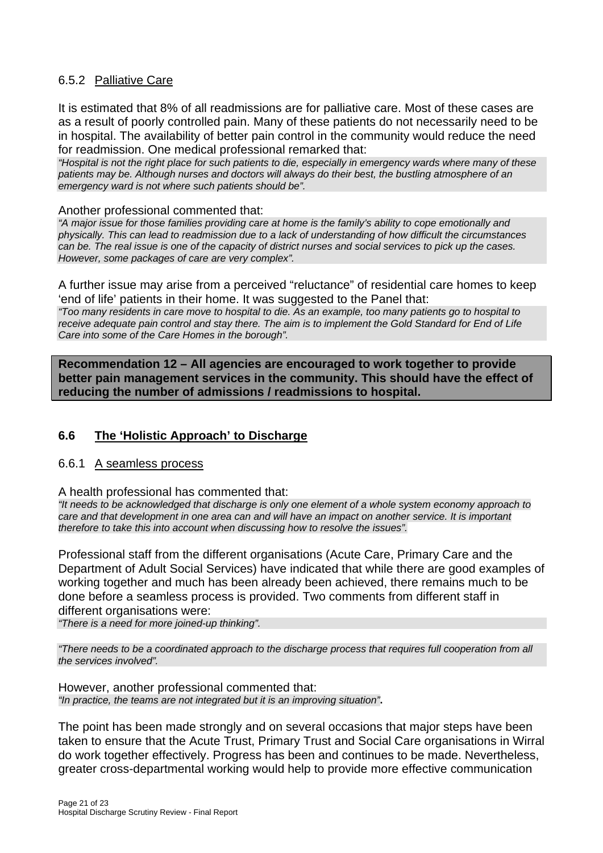### 6.5.2 Palliative Care

It is estimated that 8% of all readmissions are for palliative care. Most of these cases are as a result of poorly controlled pain. Many of these patients do not necessarily need to be in hospital. The availability of better pain control in the community would reduce the need for readmission. One medical professional remarked that:

*"Hospital is not the right place for such patients to die, especially in emergency wards where many of these patients may be. Although nurses and doctors will always do their best, the bustling atmosphere of an emergency ward is not where such patients should be".* 

#### Another professional commented that:

*"A major issue for those families providing care at home is the family's ability to cope emotionally and physically. This can lead to readmission due to a lack of understanding of how difficult the circumstances can be. The real issue is one of the capacity of district nurses and social services to pick up the cases. However, some packages of care are very complex".* 

A further issue may arise from a perceived "reluctance" of residential care homes to keep 'end of life' patients in their home. It was suggested to the Panel that:

*"Too many residents in care move to hospital to die. As an example, too many patients go to hospital to receive adequate pain control and stay there. The aim is to implement the Gold Standard for End of Life Care into some of the Care Homes in the borough".* 

**Recommendation 12 – All agencies are encouraged to work together to provide better pain management services in the community. This should have the effect of reducing the number of admissions / readmissions to hospital.** 

#### **6.6 The 'Holistic Approach' to Discharge**

#### 6.6.1 A seamless process

A health professional has commented that:

*"It needs to be acknowledged that discharge is only one element of a whole system economy approach to care and that development in one area can and will have an impact on another service. It is important therefore to take this into account when discussing how to resolve the issues".* 

Professional staff from the different organisations (Acute Care, Primary Care and the Department of Adult Social Services) have indicated that while there are good examples of working together and much has been already been achieved, there remains much to be done before a seamless process is provided. Two comments from different staff in different organisations were:

*"There is a need for more joined-up thinking".* 

*"There needs to be a coordinated approach to the discharge process that requires full cooperation from all the services involved".* 

However, another professional commented that: *"In practice, the teams are not integrated but it is an improving situation"***.**

The point has been made strongly and on several occasions that major steps have been taken to ensure that the Acute Trust, Primary Trust and Social Care organisations in Wirral do work together effectively. Progress has been and continues to be made. Nevertheless, greater cross-departmental working would help to provide more effective communication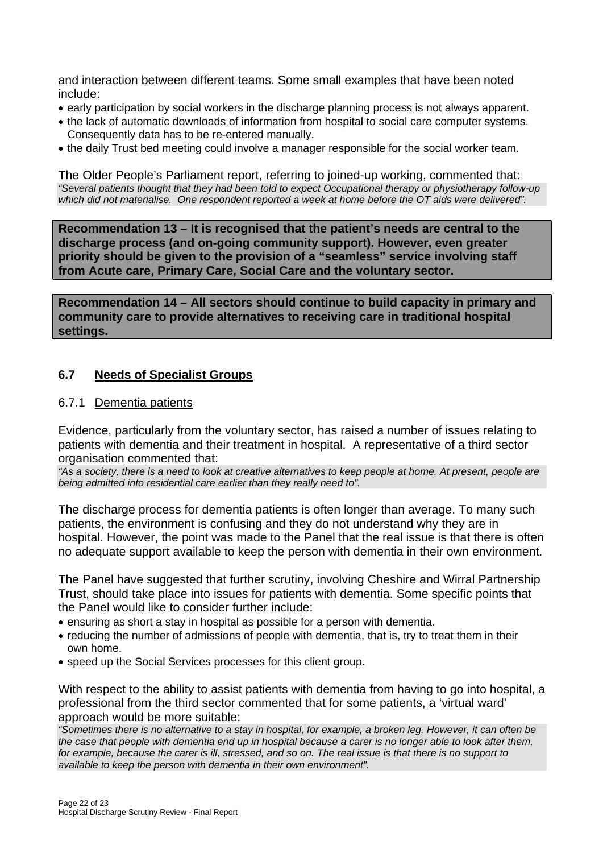and interaction between different teams. Some small examples that have been noted include:

- early participation by social workers in the discharge planning process is not always apparent.
- the lack of automatic downloads of information from hospital to social care computer systems. Consequently data has to be re-entered manually.
- the daily Trust bed meeting could involve a manager responsible for the social worker team.

The Older People's Parliament report, referring to joined-up working, commented that: *"Several patients thought that they had been told to expect Occupational therapy or physiotherapy follow-up which did not materialise. One respondent reported a week at home before the OT aids were delivered".* 

**Recommendation 13 – It is recognised that the patient's needs are central to the discharge process (and on-going community support). However, even greater priority should be given to the provision of a "seamless" service involving staff from Acute care, Primary Care, Social Care and the voluntary sector.**

**Recommendation 14 – All sectors should continue to build capacity in primary and community care to provide alternatives to receiving care in traditional hospital settings.** 

#### **6.7 Needs of Specialist Groups**

#### 6.7.1 Dementia patients

Evidence, particularly from the voluntary sector, has raised a number of issues relating to patients with dementia and their treatment in hospital. A representative of a third sector organisation commented that:

*"As a society, there is a need to look at creative alternatives to keep people at home. At present, people are being admitted into residential care earlier than they really need to".* 

The discharge process for dementia patients is often longer than average. To many such patients, the environment is confusing and they do not understand why they are in hospital. However, the point was made to the Panel that the real issue is that there is often no adequate support available to keep the person with dementia in their own environment.

The Panel have suggested that further scrutiny, involving Cheshire and Wirral Partnership Trust, should take place into issues for patients with dementia. Some specific points that the Panel would like to consider further include:

- ensuring as short a stay in hospital as possible for a person with dementia.
- reducing the number of admissions of people with dementia, that is, try to treat them in their own home.
- speed up the Social Services processes for this client group.

With respect to the ability to assist patients with dementia from having to go into hospital, a professional from the third sector commented that for some patients, a 'virtual ward' approach would be more suitable:

*"Sometimes there is no alternative to a stay in hospital, for example, a broken leg. However, it can often be the case that people with dementia end up in hospital because a carer is no longer able to look after them, for example, because the carer is ill, stressed, and so on. The real issue is that there is no support to available to keep the person with dementia in their own environment".*